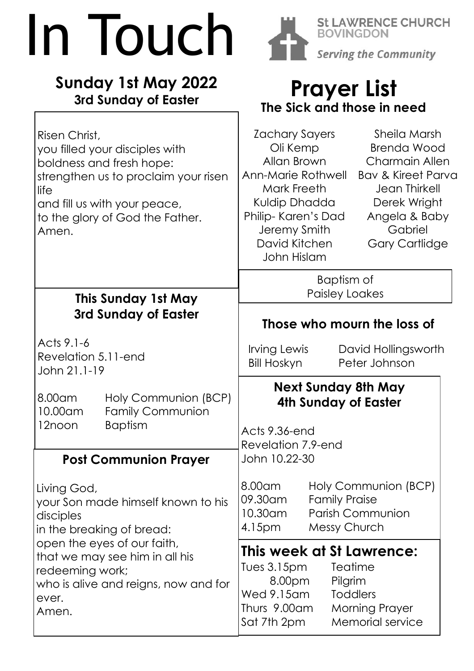# In Touch

### **Sunday 1st May 2022 3rd Sunday of Easter**

 $\Gamma$ 



**St LAWRENCE CHURCH** DON Serving the Community

## **Prayer List The Sick and those in need**

| Risen Christ,<br>you filled your disciples with<br>boldness and fresh hope:<br>strengthen us to proclaim your risen<br>llife<br>and fill us with your peace,<br>to the glory of God the Father.<br>Amen.                                  | Sheila Marsh<br>Zachary Sayers<br><b>Brenda Wood</b><br>Oli Kemp<br>Allan Brown<br><b>Charmain Allen</b><br>Ann-Marie Rothwell<br><b>Bay &amp; Kireet Parva</b><br>Mark Freeth<br><b>Jean Thirkell</b><br>Kuldip Dhadda<br>Derek Wright<br>Philip-Karen's Dad<br>Angela & Baby<br>Gabriel<br>Jeremy Smith<br>David Kitchen<br><b>Gary Cartlidge</b><br>John Hislam |
|-------------------------------------------------------------------------------------------------------------------------------------------------------------------------------------------------------------------------------------------|--------------------------------------------------------------------------------------------------------------------------------------------------------------------------------------------------------------------------------------------------------------------------------------------------------------------------------------------------------------------|
|                                                                                                                                                                                                                                           | Baptism of<br><b>Paisley Loakes</b>                                                                                                                                                                                                                                                                                                                                |
| This Sunday 1st May<br>3rd Sunday of Easter                                                                                                                                                                                               | Those who mourn the loss of                                                                                                                                                                                                                                                                                                                                        |
| Acts 9.1-6<br>Revelation 5.11-end<br>John 21.1-19                                                                                                                                                                                         | Irving Lewis<br>David Hollingsworth<br>Bill Hoskyn<br>Peter Johnson                                                                                                                                                                                                                                                                                                |
| Holy Communion (BCP)<br>8.00am<br><b>Family Communion</b><br>10.00am<br><b>Baptism</b><br>12noon                                                                                                                                          | <b>Next Sunday 8th May</b><br>4th Sunday of Easter                                                                                                                                                                                                                                                                                                                 |
|                                                                                                                                                                                                                                           | Acts 9.36-end<br>Revelation 7.9-end                                                                                                                                                                                                                                                                                                                                |
| <b>Post Communion Prayer</b>                                                                                                                                                                                                              | John 10.22-30                                                                                                                                                                                                                                                                                                                                                      |
| Living God,<br>your Son made himself known to his<br>disciples<br>in the breaking of bread:<br>open the eyes of our faith,<br>that we may see him in all his<br>redeeming work;<br>who is alive and reigns, now and for<br>ever.<br>Amen. | 8.00 am<br>Holy Communion (BCP)<br>09.30am<br><b>Family Praise</b><br><b>Parish Communion</b><br>10.30am<br><b>Messy Church</b><br>4.15pm                                                                                                                                                                                                                          |
|                                                                                                                                                                                                                                           | This week at St Lawrence:<br>Tues 3.15pm<br>Teatime<br>8.00pm<br>Pilgrim<br>Wed 9.15am<br><b>Toddlers</b><br>Thurs 9.00am<br><b>Morning Prayer</b>                                                                                                                                                                                                                 |